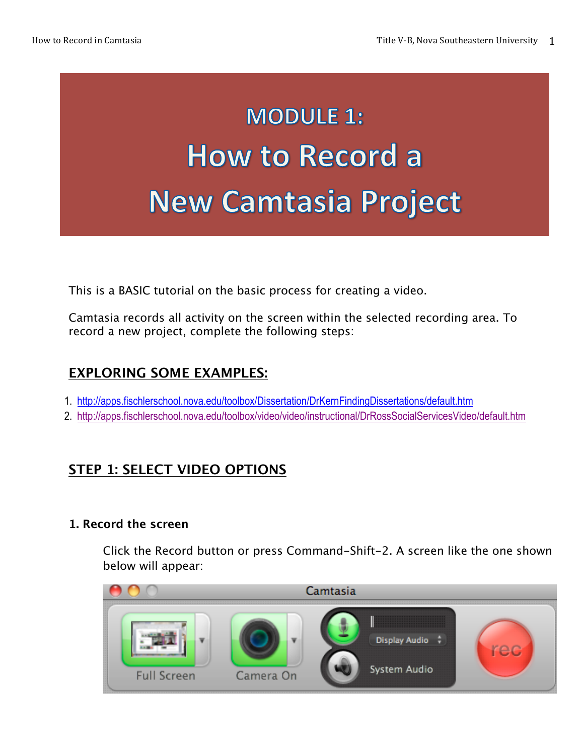# **MODULE 1: How to Record a New Camtasia Project**

This is a BASIC tutorial on the basic process for creating a video.

Camtasia records all activity on the screen within the selected recording area. To record a new project, complete the following steps:

#### **EXPLORING SOME EXAMPLES:**

- 1. http://apps.fischlerschool.nova.edu/toolbox/Dissertation/DrKernFindingDissertations/default.htm
- 2. http://apps.fischlerschool.nova.edu/toolbox/video/video/instructional/DrRossSocialServicesVideo/default.htm

#### **STEP 1: SELECT VIDEO OPTIONS**

#### **1. Record the screen**

Click the Record button or press Command-Shift-2. A screen like the one shown below will appear:

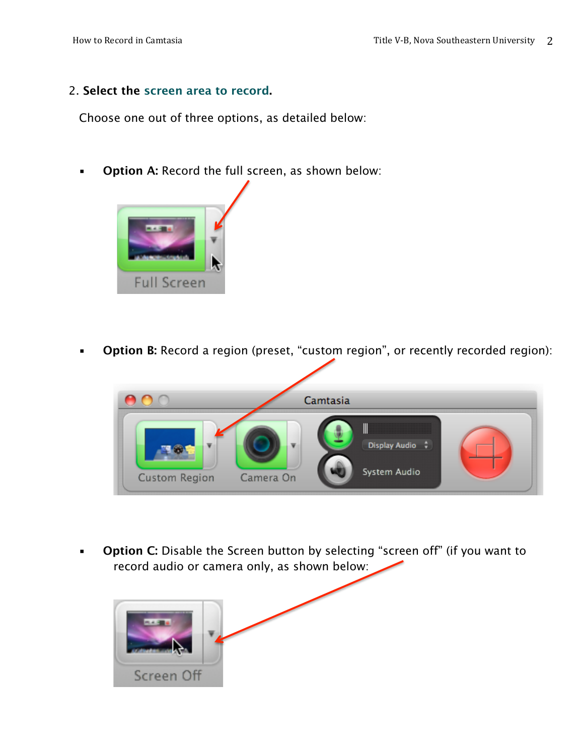#### 2. **Select the screen area to record.**

Choose one out of three options, as detailed below:

**• Option A: Record the full screen, as shown below:** 



**• Option B:** Record a region (preset, "custom region", or recently recorded region):



**Option C:** Disable the Screen button by selecting "screen off" (if you want to record audio or camera only, as shown below:

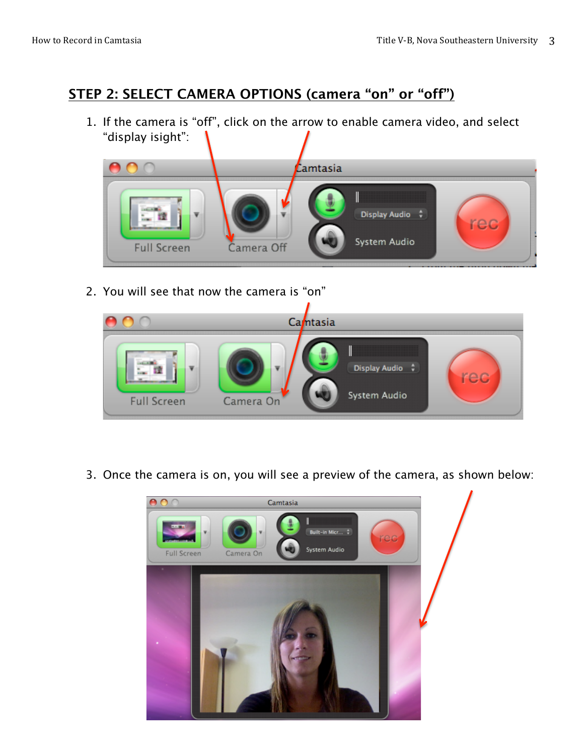#### **STEP 2: SELECT CAMERA OPTIONS (camera "on" or "off")**

1. If the camera is "off", click on the arrow to enable camera video, and select "display isight":



2. You will see that now the camera is "on"



3. Once the camera is on, you will see a preview of the camera, as shown below:

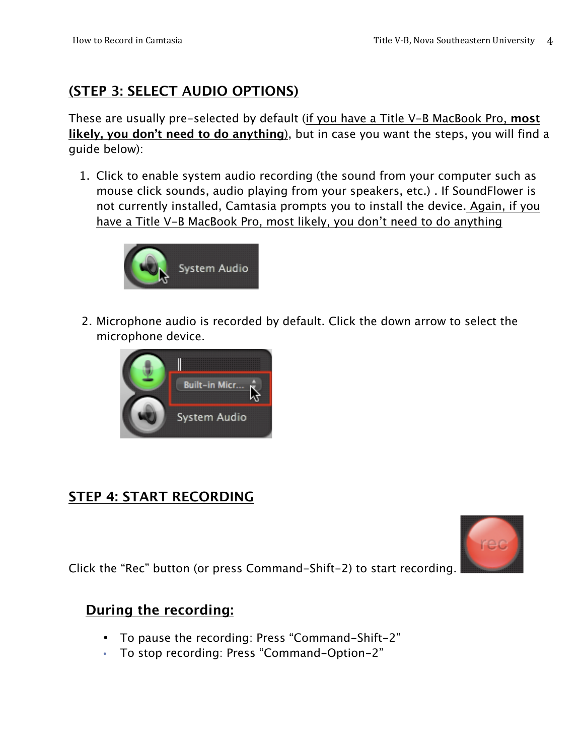## **(STEP 3: SELECT AUDIO OPTIONS)**

These are usually pre-selected by default (if you have a Title V-B MacBook Pro, **most likely, you don't need to do anything**), but in case you want the steps, you will find a guide below):

1. Click to enable system audio recording (the sound from your computer such as mouse click sounds, audio playing from your speakers, etc.) . If SoundFlower is not currently installed, Camtasia prompts you to install the device. Again, if you have a Title V-B MacBook Pro, most likely, you don't need to do anything



2. Microphone audio is recorded by default. Click the down arrow to select the microphone device.



#### **STEP 4: START RECORDING**



Click the "Rec" button (or press Command-Shift-2) to start recording.

#### **During the recording:**

- To pause the recording: Press "Command-Shift-2"
- To stop recording: Press "Command-Option-2"